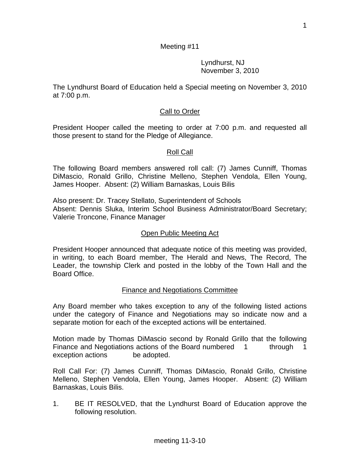Lyndhurst, NJ November 3, 2010

The Lyndhurst Board of Education held a Special meeting on November 3, 2010 at 7:00 p.m.

## Call to Order

President Hooper called the meeting to order at 7:00 p.m. and requested all those present to stand for the Pledge of Allegiance.

### Roll Call

The following Board members answered roll call: (7) James Cunniff, Thomas DiMascio, Ronald Grillo, Christine Melleno, Stephen Vendola, Ellen Young, James Hooper. Absent: (2) William Barnaskas, Louis Bilis

Also present: Dr. Tracey Stellato, Superintendent of Schools Absent: Dennis Sluka, Interim School Business Administrator/Board Secretary; Valerie Troncone, Finance Manager

#### Open Public Meeting Act

President Hooper announced that adequate notice of this meeting was provided, in writing, to each Board member, The Herald and News, The Record, The Leader, the township Clerk and posted in the lobby of the Town Hall and the Board Office.

### Finance and Negotiations Committee

Any Board member who takes exception to any of the following listed actions under the category of Finance and Negotiations may so indicate now and a separate motion for each of the excepted actions will be entertained.

Motion made by Thomas DiMascio second by Ronald Grillo that the following Finance and Negotiations actions of the Board numbered 1 through 1 exception actions be adopted.

Roll Call For: (7) James Cunniff, Thomas DiMascio, Ronald Grillo, Christine Melleno, Stephen Vendola, Ellen Young, James Hooper. Absent: (2) William Barnaskas, Louis Bilis.

1. BE IT RESOLVED, that the Lyndhurst Board of Education approve the following resolution.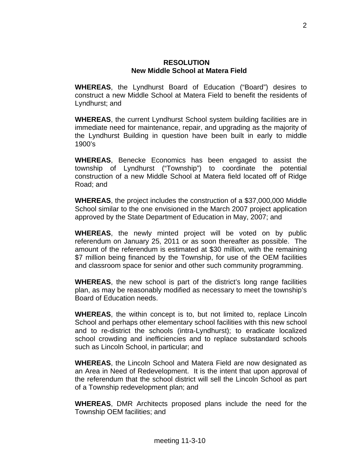#### **RESOLUTION New Middle School at Matera Field**

**WHEREAS**, the Lyndhurst Board of Education ("Board") desires to construct a new Middle School at Matera Field to benefit the residents of Lyndhurst; and

**WHEREAS**, the current Lyndhurst School system building facilities are in immediate need for maintenance, repair, and upgrading as the majority of the Lyndhurst Building in question have been built in early to middle 1900's

**WHEREAS**, Benecke Economics has been engaged to assist the township of Lyndhurst ("Township") to coordinate the potential construction of a new Middle School at Matera field located off of Ridge Road; and

**WHEREAS**, the project includes the construction of a \$37,000,000 Middle School similar to the one envisioned in the March 2007 project application approved by the State Department of Education in May, 2007; and

**WHEREAS**, the newly minted project will be voted on by public referendum on January 25, 2011 or as soon thereafter as possible. The amount of the referendum is estimated at \$30 million, with the remaining \$7 million being financed by the Township, for use of the OEM facilities and classroom space for senior and other such community programming.

**WHEREAS**, the new school is part of the district's long range facilities plan, as may be reasonably modified as necessary to meet the township's Board of Education needs.

**WHEREAS**, the within concept is to, but not limited to, replace Lincoln School and perhaps other elementary school facilities with this new school and to re-district the schools (intra-Lyndhurst); to eradicate localized school crowding and inefficiencies and to replace substandard schools such as Lincoln School, in particular; and

**WHEREAS**, the Lincoln School and Matera Field are now designated as an Area in Need of Redevelopment. It is the intent that upon approval of the referendum that the school district will sell the Lincoln School as part of a Township redevelopment plan; and

**WHEREAS**, DMR Architects proposed plans include the need for the Township OEM facilities; and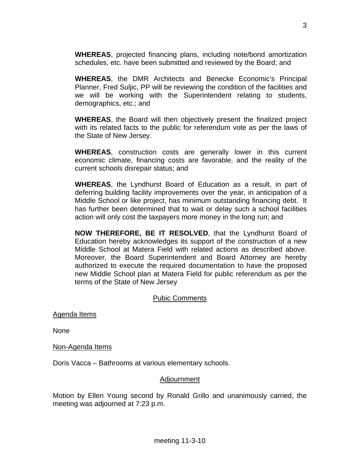**WHEREAS**, projected financing plans, including note/bond amortization schedules, etc. have been submitted and reviewed by the Board; and

**WHEREAS**, the DMR Architects and Benecke Economic's Principal Planner, Fred Suljic, PP will be reviewing the condition of the facilities and we will be working with the Superintendent relating to students, demographics, etc.; and

**WHEREAS**, the Board will then objectively present the finalized project with its related facts to the public for referendum vote as per the laws of the State of New Jersey.

**WHEREAS**, construction costs are generally lower in this current economic climate, financing costs are favorable, and the reality of the current schools disrepair status; and

**WHEREAS**, the Lyndhurst Board of Education as a result, in part of deferring building facility improvements over the year, in anticipation of a Middle School or like project, has minimum outstanding financing debt. It has further been determined that to wait or delay such a school facilities action will only cost the taxpayers more money in the long run; and

**NOW THEREFORE, BE IT RESOLVED**, that the Lyndhurst Board of Education hereby acknowledges its support of the construction of a new Middle School at Matera Field with related actions as described above. Moreover, the Board Superintendent and Board Attorney are hereby authorized to execute the required documentation to have the proposed new Middle School plan at Matera Field for public referendum as per the terms of the State of New Jersey

# Pubic Comments

Agenda Items

None

Non-Agenda Items

Doris Vacca – Bathrooms at various elementary schools.

#### Adjournment

Motion by Ellen Young second by Ronald Grillo and unanimously carried, the meeting was adjourned at 7:23 p.m.